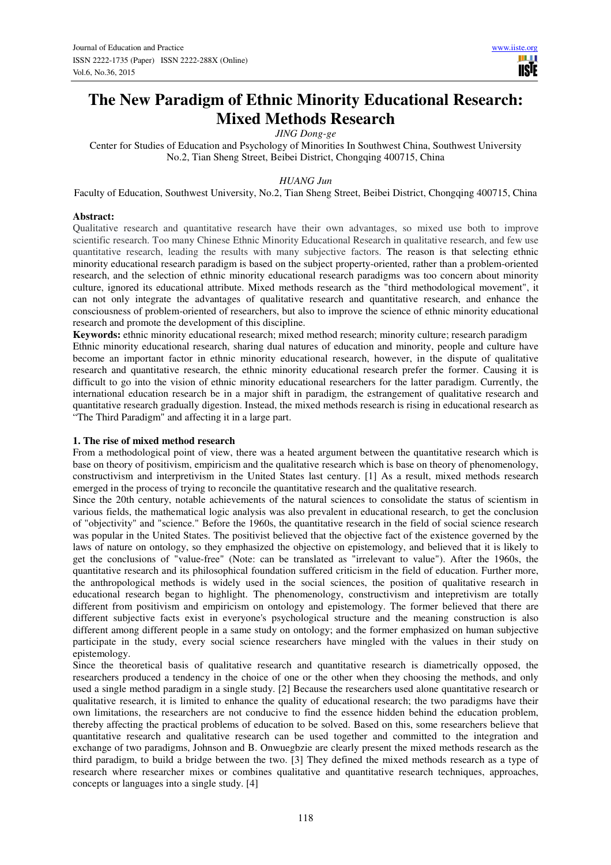# **The New Paradigm of Ethnic Minority Educational Research: Mixed Methods Research**

*JING Dong-ge* 

Center for Studies of Education and Psychology of Minorities In Southwest China, Southwest University No.2, Tian Sheng Street, Beibei District, Chongqing 400715, China

## *HUANG Jun*

Faculty of Education, Southwest University, No.2, Tian Sheng Street, Beibei District, Chongqing 400715, China

### **Abstract:**

Qualitative research and quantitative research have their own advantages, so mixed use both to improve scientific research. Too many Chinese Ethnic Minority Educational Research in qualitative research, and few use quantitative research, leading the results with many subjective factors. The reason is that selecting ethnic minority educational research paradigm is based on the subject property-oriented, rather than a problem-oriented research, and the selection of ethnic minority educational research paradigms was too concern about minority culture, ignored its educational attribute. Mixed methods research as the "third methodological movement", it can not only integrate the advantages of qualitative research and quantitative research, and enhance the consciousness of problem-oriented of researchers, but also to improve the science of ethnic minority educational research and promote the development of this discipline.

**Keywords:** ethnic minority educational research; mixed method research; minority culture; research paradigm Ethnic minority educational research, sharing dual natures of education and minority, people and culture have become an important factor in ethnic minority educational research, however, in the dispute of qualitative research and quantitative research, the ethnic minority educational research prefer the former. Causing it is difficult to go into the vision of ethnic minority educational researchers for the latter paradigm. Currently, the international education research be in a major shift in paradigm, the estrangement of qualitative research and quantitative research gradually digestion. Instead, the mixed methods research is rising in educational research as "The Third Paradigm" and affecting it in a large part.

## **1. The rise of mixed method research**

From a methodological point of view, there was a heated argument between the quantitative research which is base on theory of positivism, empiricism and the qualitative research which is base on theory of phenomenology, constructivism and interpretivism in the United States last century. [1] As a result, mixed methods research emerged in the process of trying to reconcile the quantitative research and the qualitative research.

Since the 20th century, notable achievements of the natural sciences to consolidate the status of scientism in various fields, the mathematical logic analysis was also prevalent in educational research, to get the conclusion of "objectivity" and "science." Before the 1960s, the quantitative research in the field of social science research was popular in the United States. The positivist believed that the objective fact of the existence governed by the laws of nature on ontology, so they emphasized the objective on epistemology, and believed that it is likely to get the conclusions of "value-free" (Note: can be translated as "irrelevant to value"). After the 1960s, the quantitative research and its philosophical foundation suffered criticism in the field of education. Further more, the anthropological methods is widely used in the social sciences, the position of qualitative research in educational research began to highlight. The phenomenology, constructivism and intepretivism are totally different from positivism and empiricism on ontology and epistemology. The former believed that there are different subjective facts exist in everyone's psychological structure and the meaning construction is also different among different people in a same study on ontology; and the former emphasized on human subjective participate in the study, every social science researchers have mingled with the values in their study on epistemology.

Since the theoretical basis of qualitative research and quantitative research is diametrically opposed, the researchers produced a tendency in the choice of one or the other when they choosing the methods, and only used a single method paradigm in a single study. [2] Because the researchers used alone quantitative research or qualitative research, it is limited to enhance the quality of educational research; the two paradigms have their own limitations, the researchers are not conducive to find the essence hidden behind the education problem, thereby affecting the practical problems of education to be solved. Based on this, some researchers believe that quantitative research and qualitative research can be used together and committed to the integration and exchange of two paradigms, Johnson and B. Onwuegbzie are clearly present the mixed methods research as the third paradigm, to build a bridge between the two. [3] They defined the mixed methods research as a type of research where researcher mixes or combines qualitative and quantitative research techniques, approaches, concepts or languages into a single study. [4]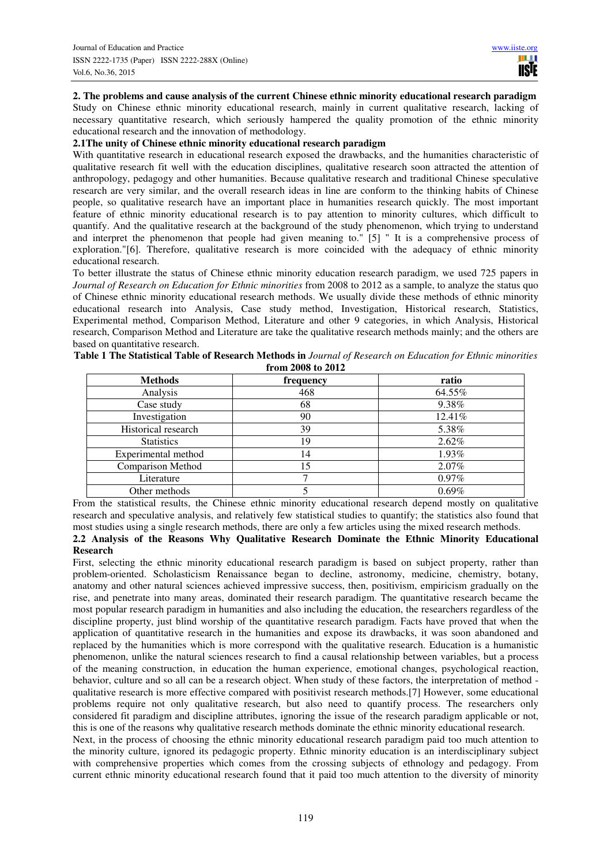**2. The problems and cause analysis of the current Chinese ethnic minority educational research paradigm** 

Study on Chinese ethnic minority educational research, mainly in current qualitative research, lacking of necessary quantitative research, which seriously hampered the quality promotion of the ethnic minority educational research and the innovation of methodology.

## **2.1The unity of Chinese ethnic minority educational research paradigm**

With quantitative research in educational research exposed the drawbacks, and the humanities characteristic of qualitative research fit well with the education disciplines, qualitative research soon attracted the attention of anthropology, pedagogy and other humanities. Because qualitative research and traditional Chinese speculative research are very similar, and the overall research ideas in line are conform to the thinking habits of Chinese people, so qualitative research have an important place in humanities research quickly. The most important feature of ethnic minority educational research is to pay attention to minority cultures, which difficult to quantify. And the qualitative research at the background of the study phenomenon, which trying to understand and interpret the phenomenon that people had given meaning to." [5] " It is a comprehensive process of exploration."[6]. Therefore, qualitative research is more coincided with the adequacy of ethnic minority educational research.

To better illustrate the status of Chinese ethnic minority education research paradigm, we used 725 papers in *Journal of Research on Education for Ethnic minorities* from 2008 to 2012 as a sample, to analyze the status quo of Chinese ethnic minority educational research methods. We usually divide these methods of ethnic minority educational research into Analysis, Case study method, Investigation, Historical research, Statistics, Experimental method, Comparison Method, Literature and other 9 categories, in which Analysis, Historical research, Comparison Method and Literature are take the qualitative research methods mainly; and the others are based on quantitative research.

| <b>Methods</b>           | frequency | ratio    |
|--------------------------|-----------|----------|
| Analysis                 | 468       | 64.55%   |
| Case study               | 68        | 9.38%    |
| Investigation            | 90        | 12.41%   |
| Historical research      | 39        | 5.38%    |
| <b>Statistics</b>        | 19        | 2.62%    |
| Experimental method      | 14        | 1.93%    |
| <b>Comparison Method</b> | 15        | $2.07\%$ |
| Literature               |           | $0.97\%$ |
| Other methods            |           | 0.69%    |

**Table 1 The Statistical Table of Research Methods in** *Journal of Research on Education for Ethnic minorities*  **from 2008 to 2012** 

From the statistical results, the Chinese ethnic minority educational research depend mostly on qualitative research and speculative analysis, and relatively few statistical studies to quantify; the statistics also found that most studies using a single research methods, there are only a few articles using the mixed research methods.

## **2.2 Analysis of the Reasons Why Qualitative Research Dominate the Ethnic Minority Educational Research**

First, selecting the ethnic minority educational research paradigm is based on subject property, rather than problem-oriented. Scholasticism Renaissance began to decline, astronomy, medicine, chemistry, botany, anatomy and other natural sciences achieved impressive success, then, positivism, empiricism gradually on the rise, and penetrate into many areas, dominated their research paradigm. The quantitative research became the most popular research paradigm in humanities and also including the education, the researchers regardless of the discipline property, just blind worship of the quantitative research paradigm. Facts have proved that when the application of quantitative research in the humanities and expose its drawbacks, it was soon abandoned and replaced by the humanities which is more correspond with the qualitative research. Education is a humanistic phenomenon, unlike the natural sciences research to find a causal relationship between variables, but a process of the meaning construction, in education the human experience, emotional changes, psychological reaction, behavior, culture and so all can be a research object. When study of these factors, the interpretation of method qualitative research is more effective compared with positivist research methods.[7] However, some educational problems require not only qualitative research, but also need to quantify process. The researchers only considered fit paradigm and discipline attributes, ignoring the issue of the research paradigm applicable or not, this is one of the reasons why qualitative research methods dominate the ethnic minority educational research. Next, in the process of choosing the ethnic minority educational research paradigm paid too much attention to

the minority culture, ignored its pedagogic property. Ethnic minority education is an interdisciplinary subject with comprehensive properties which comes from the crossing subjects of ethnology and pedagogy. From current ethnic minority educational research found that it paid too much attention to the diversity of minority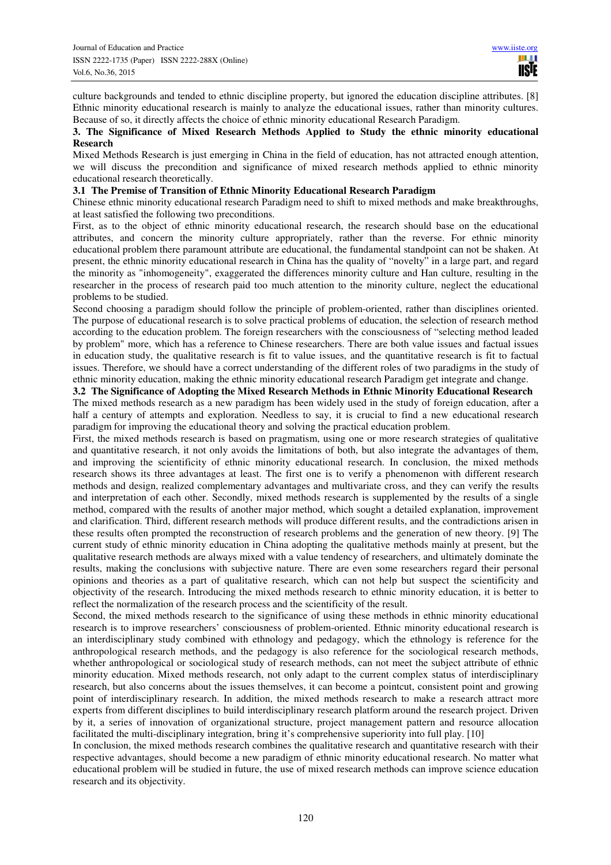culture backgrounds and tended to ethnic discipline property, but ignored the education discipline attributes. [8] Ethnic minority educational research is mainly to analyze the educational issues, rather than minority cultures. Because of so, it directly affects the choice of ethnic minority educational Research Paradigm.

#### **3. The Significance of Mixed Research Methods Applied to Study the ethnic minority educational Research**

Mixed Methods Research is just emerging in China in the field of education, has not attracted enough attention, we will discuss the precondition and significance of mixed research methods applied to ethnic minority educational research theoretically.

## **3.1 The Premise of Transition of Ethnic Minority Educational Research Paradigm**

Chinese ethnic minority educational research Paradigm need to shift to mixed methods and make breakthroughs, at least satisfied the following two preconditions.

First, as to the object of ethnic minority educational research, the research should base on the educational attributes, and concern the minority culture appropriately, rather than the reverse. For ethnic minority educational problem there paramount attribute are educational, the fundamental standpoint can not be shaken. At present, the ethnic minority educational research in China has the quality of "novelty" in a large part, and regard the minority as "inhomogeneity", exaggerated the differences minority culture and Han culture, resulting in the researcher in the process of research paid too much attention to the minority culture, neglect the educational problems to be studied.

Second choosing a paradigm should follow the principle of problem-oriented, rather than disciplines oriented. The purpose of educational research is to solve practical problems of education, the selection of research method according to the education problem. The foreign researchers with the consciousness of "selecting method leaded by problem" more, which has a reference to Chinese researchers. There are both value issues and factual issues in education study, the qualitative research is fit to value issues, and the quantitative research is fit to factual issues. Therefore, we should have a correct understanding of the different roles of two paradigms in the study of ethnic minority education, making the ethnic minority educational research Paradigm get integrate and change.

#### **3.2 The Significance of Adopting the Mixed Research Methods in Ethnic Minority Educational Research**

The mixed methods research as a new paradigm has been widely used in the study of foreign education, after a half a century of attempts and exploration. Needless to say, it is crucial to find a new educational research paradigm for improving the educational theory and solving the practical education problem.

First, the mixed methods research is based on pragmatism, using one or more research strategies of qualitative and quantitative research, it not only avoids the limitations of both, but also integrate the advantages of them, and improving the scientificity of ethnic minority educational research. In conclusion, the mixed methods research shows its three advantages at least. The first one is to verify a phenomenon with different research methods and design, realized complementary advantages and multivariate cross, and they can verify the results and interpretation of each other. Secondly, mixed methods research is supplemented by the results of a single method, compared with the results of another major method, which sought a detailed explanation, improvement and clarification. Third, different research methods will produce different results, and the contradictions arisen in these results often prompted the reconstruction of research problems and the generation of new theory. [9] The current study of ethnic minority education in China adopting the qualitative methods mainly at present, but the qualitative research methods are always mixed with a value tendency of researchers, and ultimately dominate the results, making the conclusions with subjective nature. There are even some researchers regard their personal opinions and theories as a part of qualitative research, which can not help but suspect the scientificity and objectivity of the research. Introducing the mixed methods research to ethnic minority education, it is better to reflect the normalization of the research process and the scientificity of the result.

Second, the mixed methods research to the significance of using these methods in ethnic minority educational research is to improve researchers' consciousness of problem-oriented. Ethnic minority educational research is an interdisciplinary study combined with ethnology and pedagogy, which the ethnology is reference for the anthropological research methods, and the pedagogy is also reference for the sociological research methods, whether anthropological or sociological study of research methods, can not meet the subject attribute of ethnic minority education. Mixed methods research, not only adapt to the current complex status of interdisciplinary research, but also concerns about the issues themselves, it can become a pointcut, consistent point and growing point of interdisciplinary research. In addition, the mixed methods research to make a research attract more experts from different disciplines to build interdisciplinary research platform around the research project. Driven by it, a series of innovation of organizational structure, project management pattern and resource allocation facilitated the multi-disciplinary integration, bring it's comprehensive superiority into full play. [10]

In conclusion, the mixed methods research combines the qualitative research and quantitative research with their respective advantages, should become a new paradigm of ethnic minority educational research. No matter what educational problem will be studied in future, the use of mixed research methods can improve science education research and its objectivity.